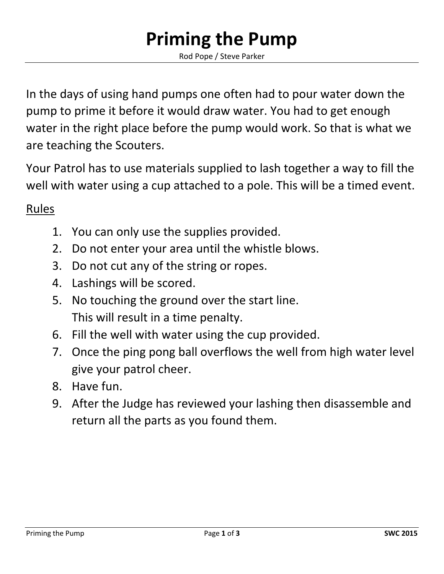## **Priming the Pump**

Rod Pope / Steve Parker

In the days of using hand pumps one often had to pour water down the pump to prime it before it would draw water. You had to get enough water in the right place before the pump would work. So that is what we are teaching the Scouters.

Your Patrol has to use materials supplied to lash together a way to fill the well with water using a cup attached to a pole. This will be a timed event.

## Rules

- 1. You can only use the supplies provided.
- 2. Do not enter your area until the whistle blows.
- 3. Do not cut any of the string or ropes.
- 4. Lashings will be scored.
- 5. No touching the ground over the start line. This will result in a time penalty.
- 6. Fill the well with water using the cup provided.
- 7. Once the ping pong ball overflows the well from high water level give your patrol cheer.
- 8. Have fun.
- 9. After the Judge has reviewed your lashing then disassemble and return all the parts as you found them.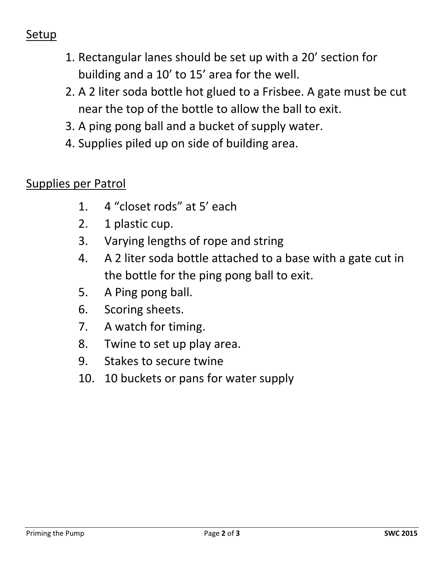## Setup

- 1. Rectangular lanes should be set up with a 20' section for building and a 10' to 15' area for the well.
- 2. A 2 liter soda bottle hot glued to a Frisbee. A gate must be cut near the top of the bottle to allow the ball to exit.
- 3. A ping pong ball and a bucket of supply water.
- 4. Supplies piled up on side of building area.

## Supplies per Patrol

- 1. 4 "closet rods" at 5' each
- 2. 1 plastic cup.
- 3. Varying lengths of rope and string
- 4. A 2 liter soda bottle attached to a base with a gate cut in the bottle for the ping pong ball to exit.
- 5. A Ping pong ball.
- 6. Scoring sheets.
- 7. A watch for timing.
- 8. Twine to set up play area.
- 9. Stakes to secure twine
- 10. 10 buckets or pans for water supply